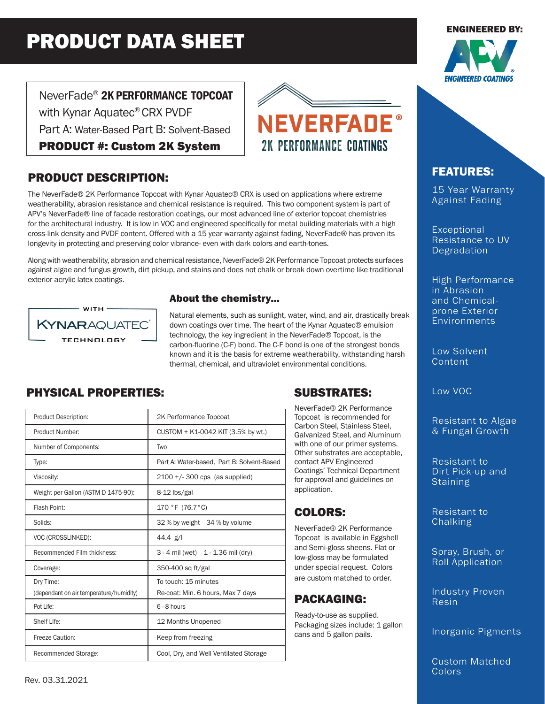# PRODUCT DATA SHEET

NeverFade® 2K PERFORMANCE TOPCOAT with Kynar Aquatec® CRX PVDF Part A: Water-Based Part B: Solvent-Based PRODUCT #: Custom 2K System

# PRODUCT DESCRIPTION:

The NeverFade® 2K Performance Topcoat with Kynar Aquatec® CRX is used on applications where extreme weatherability, abrasion resistance and chemical resistance is required. This two component system is part of APV's NeverFade® line of facade restoration coatings, our most advanced line of exterior topcoat chemistries for the architectural industry. It is low in VOC and engineered specifically for metal building materials with a high cross-link density and PVDF content. Offered with a 15 year warranty against fading, NeverFade® has proven its longevity in protecting and preserving color vibrance- even with dark colors and earth-tones.

Along with weatherability, abrasion and chemical resistance, NeverFade® 2K Performance Topcoat protects surfaces against algae and fungus growth, dirt pickup, and stains and does not chalk or break down overtime like traditional exterior acrylic latex coatings.



## About the chemistry...

Natural elements, such as sunlight, water, wind, and air, drastically break down coatings over time. The heart of the Kynar Aquatec® emulsion technology, the key ingredient in the NeverFade® Topcoat, is the carbon-fluorine (C-F) bond. The C-F bond is one of the strongest bonds known and it is the basis for extreme weatherability, withstanding harsh thermal, chemical, and ultraviolet environmental conditions.

# PHYSICAL PROPERTIES: SUBSTRATES:

| Product Description:                                 | 2K Performance Topcoat                                    |
|------------------------------------------------------|-----------------------------------------------------------|
| Product Number:                                      | CUSTOM + K1-0042 KIT (3.5% by wt.)                        |
| Number of Components:                                | Two                                                       |
| Type:                                                | Part A: Water-based, Part B: Solvent-Based                |
| Viscosity:                                           | $2100$ +/- 300 cps (as supplied)                          |
| Weight per Gallon (ASTM D 1475-90):                  | 8-12 lbs/gal                                              |
| Flash Point:                                         | 170 °F (76.7 °C)                                          |
| Solids:                                              | 32 % by weight 34 % by volume                             |
| VOC (CROSSLINKED):                                   | 44.4 g/l                                                  |
| Recommended Film thickness:                          | 3 - 4 mil (wet) 1 - 1.36 mil (dry)                        |
| Coverage:                                            | 350-400 sq ft/gal                                         |
| Dry Time:<br>(dependant on air temperature/humidity) | To touch: 15 minutes<br>Re-coat: Min. 6 hours, Max 7 days |
| Pot Life:                                            | 6 - 8 hours                                               |
| Shelf Llfe:                                          | 12 Months Unopened                                        |
| Freeze Caution:                                      | Keep from freezing                                        |
| Recommended Storage:                                 | Cool, Dry, and Well Ventilated Storage                    |



**NEVERFADE** 

**2K PERFORMANCE COATINGS** 

NeverFade® 2K Performance Topcoat is recommended for Carbon Steel, Stainless Steel, Galvanized Steel, and Aluminum with one of our primer systems. Other substrates are acceptable, contact APV Engineered Coatings' Technical Department for approval and guidelines on application.

# COLORS:

NeverFade® 2K Performance Topcoat is available in Eggshell and Semi-gloss sheens. Flat or low-gloss may be formulated under special request. Colors are custom matched to order.

# PACKAGING:

Ready-to-use as supplied. Packaging sizes include: 1 gallon cans and 5 gallon pails.





# FEATURES:

15 Year Warranty Against Fading

**Exceptional** Resistance to UV Degradation

High Performance in Abrasion and Chemicalprone Exterior **Environments** 

Low Solvent **Content** 

Low VOC

Resistant to Algae & Fungal Growth

Resistant to Dirt Pick-up and **Staining** 

Resistant to **Chalking** 

Spray, Brush, or Roll Application

Industry Proven Resin

Inorganic Pigments

Custom Matched Colors